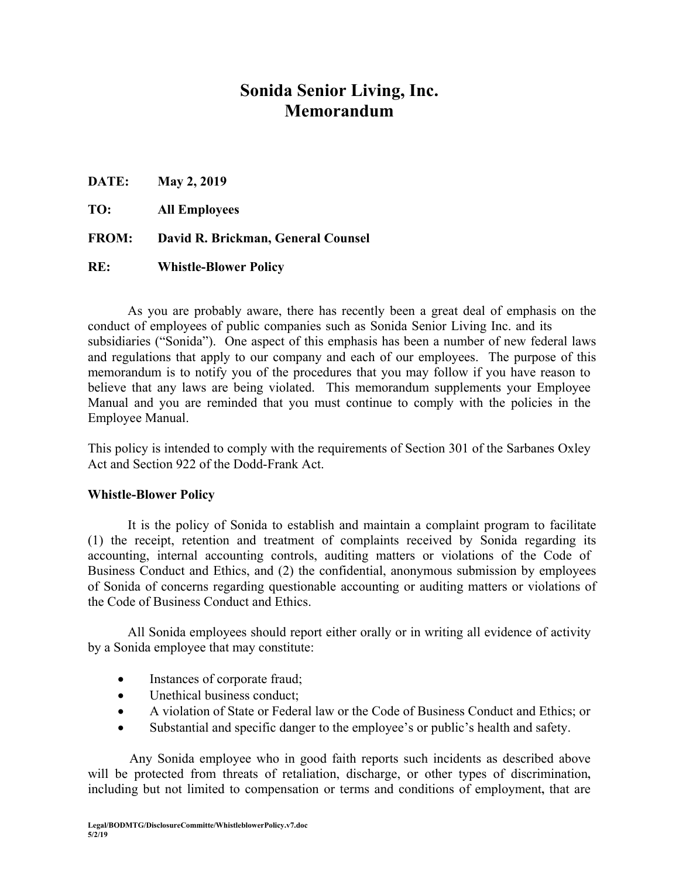# **Sonida Senior Living, Inc. Memorandum**

**DATE: May 2, 2019** 

**TO: All Employees**

**FROM: David R. Brickman, General Counsel** 

### **RE: Whistle-Blower Policy**

As you are probably aware, there has recently been a great deal of emphasis on the conduct of employees of public companies such as Sonida Senior Living Inc. and its subsidiaries ("Sonida"). One aspect of this emphasis has been a number of new federal laws and regulations that apply to our company and each of our employees. The purpose of this memorandum is to notify you of the procedures that you may follow if you have reason to believe that any laws are being violated. This memorandum supplements your Employee Manual and you are reminded that you must continue to comply with the policies in the Employee Manual.

This policy is intended to comply with the requirements of Section 301 of the Sarbanes Oxley Act and Section 922 of the Dodd-Frank Act.

## **Whistle-Blower Policy**

It is the policy of Sonida to establish and maintain a complaint program to facilitate (1) the receipt, retention and treatment of complaints received by Sonida regarding its accounting, internal accounting controls, auditing matters or violations of the Code of Business Conduct and Ethics, and (2) the confidential, anonymous submission by employees of Sonida of concerns regarding questionable accounting or auditing matters or violations of the Code of Business Conduct and Ethics.

All Sonida employees should report either orally or in writing all evidence of activity by a Sonida employee that may constitute:

- Instances of corporate fraud;
- Unethical business conduct:
- A violation of State or Federal law or the Code of Business Conduct and Ethics; or
- Substantial and specific danger to the employee's or public's health and safety.

Any Sonida employee who in good faith reports such incidents as described above will be protected from threats of retaliation, discharge, or other types of discrimination**,** including but not limited to compensation or terms and conditions of employment**,** that are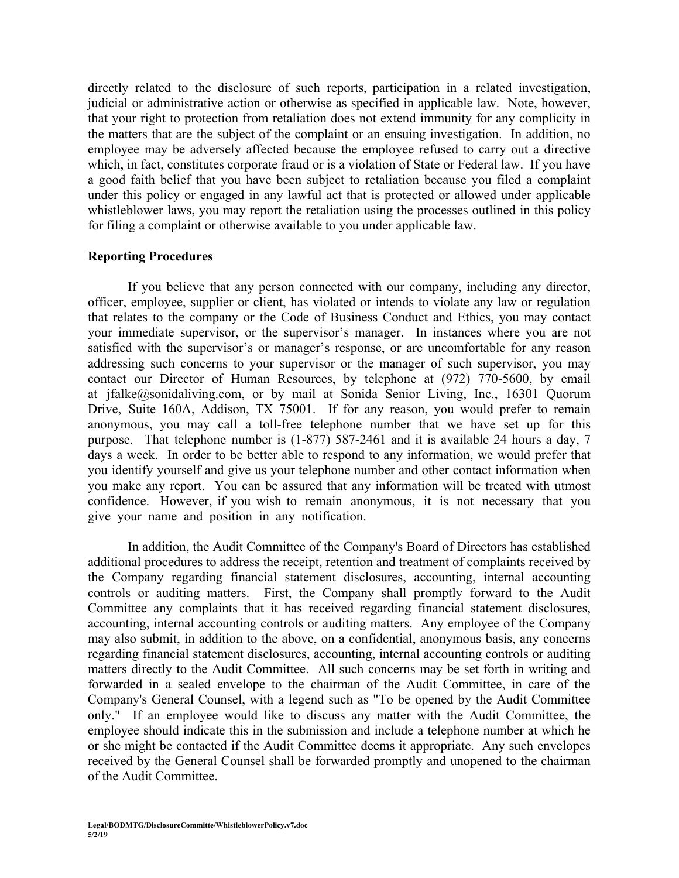directly related to the disclosure of such reports, participation in a related investigation, judicial or administrative action or otherwise as specified in applicable law. Note, however, that your right to protection from retaliation does not extend immunity for any complicity in the matters that are the subject of the complaint or an ensuing investigation. In addition, no employee may be adversely affected because the employee refused to carry out a directive which, in fact, constitutes corporate fraud or is a violation of State or Federal law. If you have a good faith belief that you have been subject to retaliation because you filed a complaint under this policy or engaged in any lawful act that is protected or allowed under applicable whistleblower laws, you may report the retaliation using the processes outlined in this policy for filing a complaint or otherwise available to you under applicable law.

### **Reporting Procedures**

If you believe that any person connected with our company, including any director, officer, employee, supplier or client, has violated or intends to violate any law or regulation that relates to the company or the Code of Business Conduct and Ethics, you may contact your immediate supervisor, or the supervisor's manager. In instances where you are not satisfied with the supervisor's or manager's response, or are uncomfortable for any reason addressing such concerns to your supervisor or the manager of such supervisor, you may contact our Director of Human Resources, by telephone at (972) 770-5600, by email at jfalke@sonidaliving.com, or by mail at Sonida Senior Living, Inc., 16301 Quorum Drive, Suite 160A, Addison, TX 75001. If for any reason, you would prefer to remain anonymous, you may call a toll-free telephone number that we have set up for this purpose. That telephone number is (1-877) 587-2461 and it is available 24 hours a day, 7 days a week. In order to be better able to respond to any information, we would prefer that you identify yourself and give us your telephone number and other contact information when you make any report. You can be assured that any information will be treated with utmost confidence. However, if you wish to remain anonymous, it is not necessary that you give your name and position in any notification.

In addition, the Audit Committee of the Company's Board of Directors has established additional procedures to address the receipt, retention and treatment of complaints received by the Company regarding financial statement disclosures, accounting, internal accounting controls or auditing matters. First, the Company shall promptly forward to the Audit Committee any complaints that it has received regarding financial statement disclosures, accounting, internal accounting controls or auditing matters. Any employee of the Company may also submit, in addition to the above, on a confidential, anonymous basis, any concerns regarding financial statement disclosures, accounting, internal accounting controls or auditing matters directly to the Audit Committee. All such concerns may be set forth in writing and forwarded in a sealed envelope to the chairman of the Audit Committee, in care of the Company's General Counsel, with a legend such as "To be opened by the Audit Committee only." If an employee would like to discuss any matter with the Audit Committee, the employee should indicate this in the submission and include a telephone number at which he or she might be contacted if the Audit Committee deems it appropriate. Any such envelopes received by the General Counsel shall be forwarded promptly and unopened to the chairman of the Audit Committee.